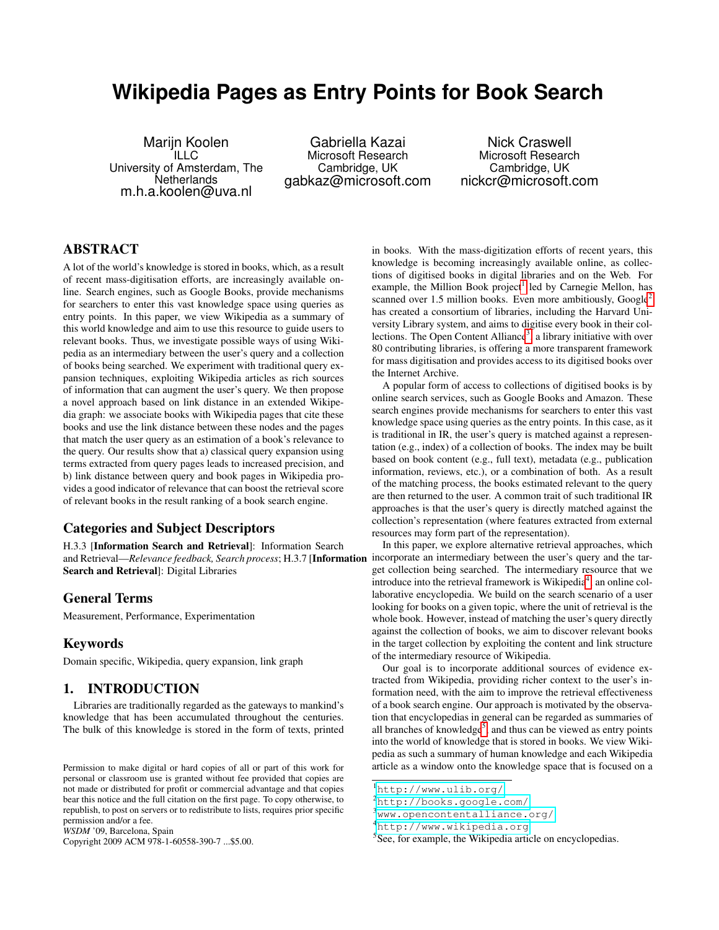# **Wikipedia Pages as Entry Points for Book Search**

Marijn Koolen ILLC University of Amsterdam, The **Netherlands** m.h.a.koolen@uva.nl

Gabriella Kazai Microsoft Research Cambridge, UK gabkaz@microsoft.com

Nick Craswell Microsoft Research Cambridge, UK nickcr@microsoft.com

# ABSTRACT

A lot of the world's knowledge is stored in books, which, as a result of recent mass-digitisation efforts, are increasingly available online. Search engines, such as Google Books, provide mechanisms for searchers to enter this vast knowledge space using queries as entry points. In this paper, we view Wikipedia as a summary of this world knowledge and aim to use this resource to guide users to relevant books. Thus, we investigate possible ways of using Wikipedia as an intermediary between the user's query and a collection of books being searched. We experiment with traditional query expansion techniques, exploiting Wikipedia articles as rich sources of information that can augment the user's query. We then propose a novel approach based on link distance in an extended Wikipedia graph: we associate books with Wikipedia pages that cite these books and use the link distance between these nodes and the pages that match the user query as an estimation of a book's relevance to the query. Our results show that a) classical query expansion using terms extracted from query pages leads to increased precision, and b) link distance between query and book pages in Wikipedia provides a good indicator of relevance that can boost the retrieval score of relevant books in the result ranking of a book search engine.

# Categories and Subject Descriptors

H.3.3 [Information Search and Retrieval]: Information Search and Retrieval—*Relevance feedback, Search process*; H.3.7 [Information incorporate an intermediary between the user's query and the tar-Search and Retrieval]: Digital Libraries

## General Terms

Measurement, Performance, Experimentation

#### Keywords

Domain specific, Wikipedia, query expansion, link graph

## 1. INTRODUCTION

Libraries are traditionally regarded as the gateways to mankind's knowledge that has been accumulated throughout the centuries. The bulk of this knowledge is stored in the form of texts, printed

*WSDM* '09, Barcelona, Spain

Copyright 2009 ACM 978-1-60558-390-7 ...\$5.00.

in books. With the mass-digitization efforts of recent years, this knowledge is becoming increasingly available online, as collections of digitised books in digital libraries and on the Web. For example, the Million Book project<sup>[1](#page-0-0)</sup> led by Carnegie Mellon, has scanned over 1.5 million books. Even more ambitiously,  $Google<sup>2</sup>$  $Google<sup>2</sup>$  $Google<sup>2</sup>$ has created a consortium of libraries, including the Harvard University Library system, and aims to digitise every book in their col-lections. The Open Content Alliance<sup>[3](#page-0-2)</sup>, a library initiative with over 80 contributing libraries, is offering a more transparent framework for mass digitisation and provides access to its digitised books over the Internet Archive.

A popular form of access to collections of digitised books is by online search services, such as Google Books and Amazon. These search engines provide mechanisms for searchers to enter this vast knowledge space using queries as the entry points. In this case, as it is traditional in IR, the user's query is matched against a representation (e.g., index) of a collection of books. The index may be built based on book content (e.g., full text), metadata (e.g., publication information, reviews, etc.), or a combination of both. As a result of the matching process, the books estimated relevant to the query are then returned to the user. A common trait of such traditional IR approaches is that the user's query is directly matched against the collection's representation (where features extracted from external resources may form part of the representation).

In this paper, we explore alternative retrieval approaches, which get collection being searched. The intermediary resource that we introduce into the retrieval framework is Wikipedia<sup>[4](#page-0-3)</sup>, an online collaborative encyclopedia. We build on the search scenario of a user looking for books on a given topic, where the unit of retrieval is the whole book. However, instead of matching the user's query directly against the collection of books, we aim to discover relevant books in the target collection by exploiting the content and link structure of the intermediary resource of Wikipedia.

Our goal is to incorporate additional sources of evidence extracted from Wikipedia, providing richer context to the user's information need, with the aim to improve the retrieval effectiveness of a book search engine. Our approach is motivated by the observation that encyclopedias in general can be regarded as summaries of all branches of knowledge<sup>[5](#page-0-4)</sup>, and thus can be viewed as entry points into the world of knowledge that is stored in books. We view Wikipedia as such a summary of human knowledge and each Wikipedia article as a window onto the knowledge space that is focused on a

Permission to make digital or hard copies of all or part of this work for personal or classroom use is granted without fee provided that copies are not made or distributed for profit or commercial advantage and that copies bear this notice and the full citation on the first page. To copy otherwise, to republish, to post on servers or to redistribute to lists, requires prior specific permission and/or a fee.

<span id="page-0-0"></span><sup>1</sup><http://www.ulib.org/>

<span id="page-0-1"></span><sup>2</sup><http://books.google.com/>

<span id="page-0-2"></span> $3$ <www.opencontentalliance.org/>

<span id="page-0-3"></span><sup>4</sup><http://www.wikipedia.org>

<span id="page-0-4"></span><sup>&</sup>lt;sup>5</sup>See, for example, the Wikipedia article on encyclopedias.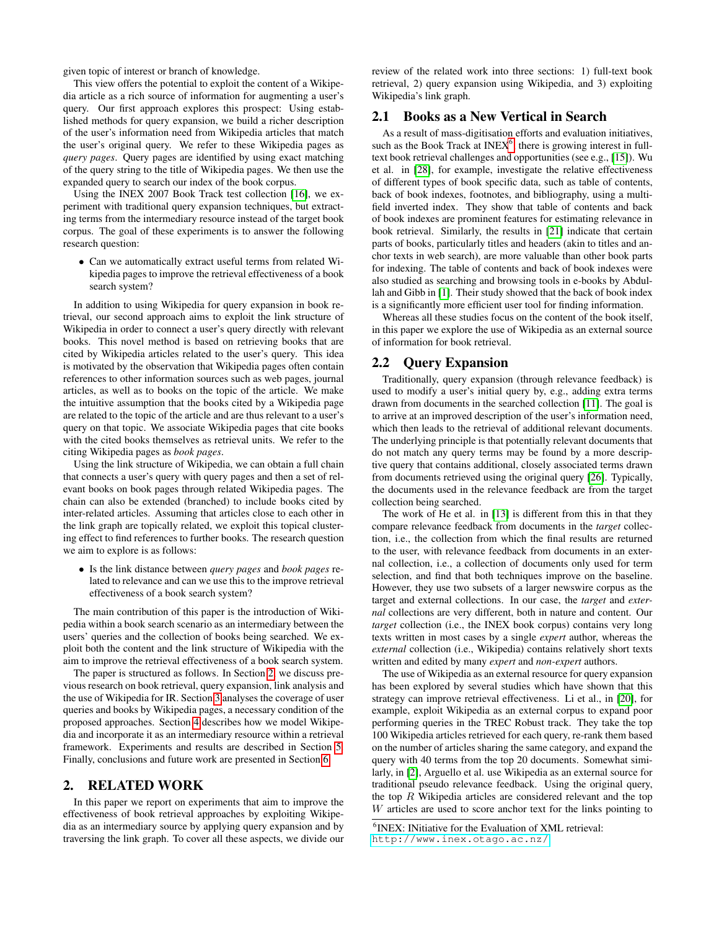given topic of interest or branch of knowledge.

This view offers the potential to exploit the content of a Wikipedia article as a rich source of information for augmenting a user's query. Our first approach explores this prospect: Using established methods for query expansion, we build a richer description of the user's information need from Wikipedia articles that match the user's original query. We refer to these Wikipedia pages as *query pages*. Query pages are identified by using exact matching of the query string to the title of Wikipedia pages. We then use the expanded query to search our index of the book corpus.

Using the INEX 2007 Book Track test collection [\[16\]](#page-9-0), we experiment with traditional query expansion techniques, but extracting terms from the intermediary resource instead of the target book corpus. The goal of these experiments is to answer the following research question:

• Can we automatically extract useful terms from related Wikipedia pages to improve the retrieval effectiveness of a book search system?

In addition to using Wikipedia for query expansion in book retrieval, our second approach aims to exploit the link structure of Wikipedia in order to connect a user's query directly with relevant books. This novel method is based on retrieving books that are cited by Wikipedia articles related to the user's query. This idea is motivated by the observation that Wikipedia pages often contain references to other information sources such as web pages, journal articles, as well as to books on the topic of the article. We make the intuitive assumption that the books cited by a Wikipedia page are related to the topic of the article and are thus relevant to a user's query on that topic. We associate Wikipedia pages that cite books with the cited books themselves as retrieval units. We refer to the citing Wikipedia pages as *book pages*.

Using the link structure of Wikipedia, we can obtain a full chain that connects a user's query with query pages and then a set of relevant books on book pages through related Wikipedia pages. The chain can also be extended (branched) to include books cited by inter-related articles. Assuming that articles close to each other in the link graph are topically related, we exploit this topical clustering effect to find references to further books. The research question we aim to explore is as follows:

• Is the link distance between *query pages* and *book pages* related to relevance and can we use this to the improve retrieval effectiveness of a book search system?

The main contribution of this paper is the introduction of Wikipedia within a book search scenario as an intermediary between the users' queries and the collection of books being searched. We exploit both the content and the link structure of Wikipedia with the aim to improve the retrieval effectiveness of a book search system.

The paper is structured as follows. In Section [2,](#page-1-0) we discuss previous research on book retrieval, query expansion, link analysis and the use of Wikipedia for IR. Section [3](#page-2-0) analyses the coverage of user queries and books by Wikipedia pages, a necessary condition of the proposed approaches. Section [4](#page-4-0) describes how we model Wikipedia and incorporate it as an intermediary resource within a retrieval framework. Experiments and results are described in Section [5.](#page-5-0) Finally, conclusions and future work are presented in Section [6.](#page-8-0)

#### <span id="page-1-0"></span>2. RELATED WORK

In this paper we report on experiments that aim to improve the effectiveness of book retrieval approaches by exploiting Wikipedia as an intermediary source by applying query expansion and by traversing the link graph. To cover all these aspects, we divide our

review of the related work into three sections: 1) full-text book retrieval, 2) query expansion using Wikipedia, and 3) exploiting Wikipedia's link graph.

#### 2.1 Books as a New Vertical in Search

As a result of mass-digitisation efforts and evaluation initiatives, such as the Book Track at INE $X^6$  $X^6$ , there is growing interest in fulltext book retrieval challenges and opportunities (see e.g., [\[15\]](#page-9-1)). Wu et al. in [\[28\]](#page-9-2), for example, investigate the relative effectiveness of different types of book specific data, such as table of contents, back of book indexes, footnotes, and bibliography, using a multifield inverted index. They show that table of contents and back of book indexes are prominent features for estimating relevance in book retrieval. Similarly, the results in [\[21\]](#page-9-3) indicate that certain parts of books, particularly titles and headers (akin to titles and anchor texts in web search), are more valuable than other book parts for indexing. The table of contents and back of book indexes were also studied as searching and browsing tools in e-books by Abdullah and Gibb in [\[1\]](#page-9-4). Their study showed that the back of book index is a significantly more efficient user tool for finding information.

Whereas all these studies focus on the content of the book itself, in this paper we explore the use of Wikipedia as an external source of information for book retrieval.

#### <span id="page-1-2"></span>2.2 Query Expansion

Traditionally, query expansion (through relevance feedback) is used to modify a user's initial query by, e.g., adding extra terms drawn from documents in the searched collection [\[11\]](#page-9-5). The goal is to arrive at an improved description of the user's information need, which then leads to the retrieval of additional relevant documents. The underlying principle is that potentially relevant documents that do not match any query terms may be found by a more descriptive query that contains additional, closely associated terms drawn from documents retrieved using the original query [\[26\]](#page-9-6). Typically, the documents used in the relevance feedback are from the target collection being searched.

The work of He et al. in [\[13\]](#page-9-7) is different from this in that they compare relevance feedback from documents in the *target* collection, i.e., the collection from which the final results are returned to the user, with relevance feedback from documents in an external collection, i.e., a collection of documents only used for term selection, and find that both techniques improve on the baseline. However, they use two subsets of a larger newswire corpus as the target and external collections. In our case, the *target* and *external* collections are very different, both in nature and content. Our *target* collection (i.e., the INEX book corpus) contains very long texts written in most cases by a single *expert* author, whereas the *external* collection (i.e., Wikipedia) contains relatively short texts written and edited by many *expert* and *non-expert* authors.

The use of Wikipedia as an external resource for query expansion has been explored by several studies which have shown that this strategy can improve retrieval effectiveness. Li et al., in [\[20\]](#page-9-8), for example, exploit Wikipedia as an external corpus to expand poor performing queries in the TREC Robust track. They take the top 100 Wikipedia articles retrieved for each query, re-rank them based on the number of articles sharing the same category, and expand the query with 40 terms from the top 20 documents. Somewhat similarly, in [\[2\]](#page-9-9), Arguello et al. use Wikipedia as an external source for traditional pseudo relevance feedback. Using the original query, the top R Wikipedia articles are considered relevant and the top W articles are used to score anchor text for the links pointing to

<span id="page-1-1"></span><sup>&</sup>lt;sup>6</sup> INEX: INitiative for the Evaluation of XML retrieval: <http://www.inex.otago.ac.nz/>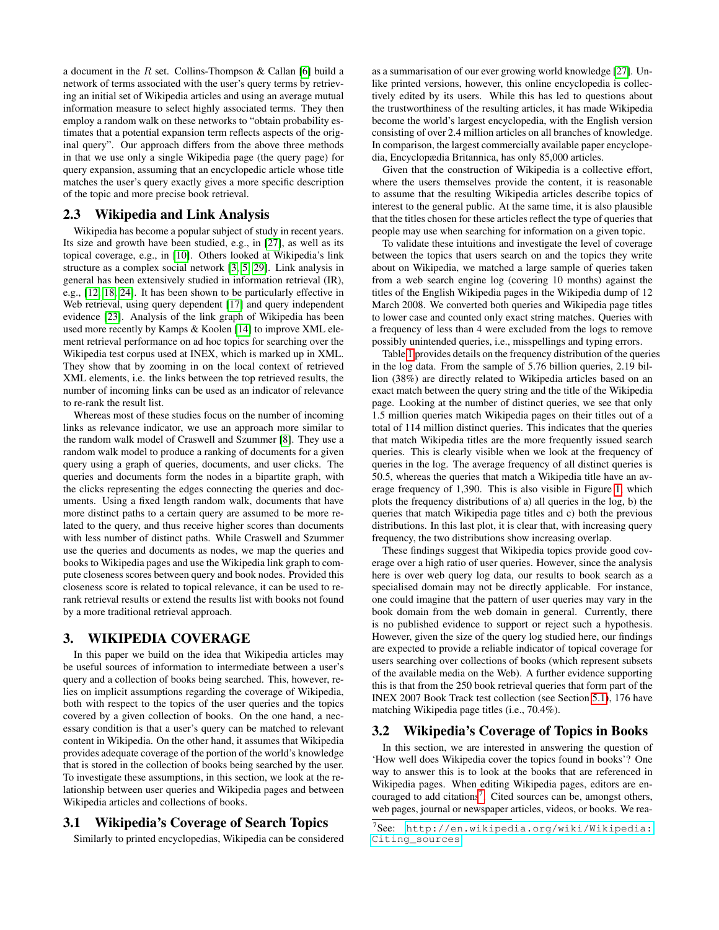a document in the  $R$  set. Collins-Thompson & Callan [\[6\]](#page-9-10) build a network of terms associated with the user's query terms by retrieving an initial set of Wikipedia articles and using an average mutual information measure to select highly associated terms. They then employ a random walk on these networks to "obtain probability estimates that a potential expansion term reflects aspects of the original query". Our approach differs from the above three methods in that we use only a single Wikipedia page (the query page) for query expansion, assuming that an encyclopedic article whose title matches the user's query exactly gives a more specific description of the topic and more precise book retrieval.

### 2.3 Wikipedia and Link Analysis

Wikipedia has become a popular subject of study in recent years. Its size and growth have been studied, e.g., in [\[27\]](#page-9-11), as well as its topical coverage, e.g., in [\[10\]](#page-9-12). Others looked at Wikipedia's link structure as a complex social network [\[3,](#page-9-13) [5,](#page-9-14) [29\]](#page-9-15). Link analysis in general has been extensively studied in information retrieval (IR), e.g., [\[12,](#page-9-16) [18,](#page-9-17) [24\]](#page-9-18). It has been shown to be particularly effective in Web retrieval, using query dependent [\[17\]](#page-9-19) and query independent evidence [\[23\]](#page-9-20). Analysis of the link graph of Wikipedia has been used more recently by Kamps & Koolen [\[14\]](#page-9-21) to improve XML element retrieval performance on ad hoc topics for searching over the Wikipedia test corpus used at INEX, which is marked up in XML. They show that by zooming in on the local context of retrieved XML elements, i.e. the links between the top retrieved results, the number of incoming links can be used as an indicator of relevance to re-rank the result list.

Whereas most of these studies focus on the number of incoming links as relevance indicator, we use an approach more similar to the random walk model of Craswell and Szummer [\[8\]](#page-9-22). They use a random walk model to produce a ranking of documents for a given query using a graph of queries, documents, and user clicks. The queries and documents form the nodes in a bipartite graph, with the clicks representing the edges connecting the queries and documents. Using a fixed length random walk, documents that have more distinct paths to a certain query are assumed to be more related to the query, and thus receive higher scores than documents with less number of distinct paths. While Craswell and Szummer use the queries and documents as nodes, we map the queries and books to Wikipedia pages and use the Wikipedia link graph to compute closeness scores between query and book nodes. Provided this closeness score is related to topical relevance, it can be used to rerank retrieval results or extend the results list with books not found by a more traditional retrieval approach.

## <span id="page-2-0"></span>3. WIKIPEDIA COVERAGE

In this paper we build on the idea that Wikipedia articles may be useful sources of information to intermediate between a user's query and a collection of books being searched. This, however, relies on implicit assumptions regarding the coverage of Wikipedia, both with respect to the topics of the user queries and the topics covered by a given collection of books. On the one hand, a necessary condition is that a user's query can be matched to relevant content in Wikipedia. On the other hand, it assumes that Wikipedia provides adequate coverage of the portion of the world's knowledge that is stored in the collection of books being searched by the user. To investigate these assumptions, in this section, we look at the relationship between user queries and Wikipedia pages and between Wikipedia articles and collections of books.

# 3.1 Wikipedia's Coverage of Search Topics

Similarly to printed encyclopedias, Wikipedia can be considered

as a summarisation of our ever growing world knowledge [\[27\]](#page-9-11). Unlike printed versions, however, this online encyclopedia is collectively edited by its users. While this has led to questions about the trustworthiness of the resulting articles, it has made Wikipedia become the world's largest encyclopedia, with the English version consisting of over 2.4 million articles on all branches of knowledge. In comparison, the largest commercially available paper encyclopedia, Encyclopædia Britannica, has only 85,000 articles.

Given that the construction of Wikipedia is a collective effort, where the users themselves provide the content, it is reasonable to assume that the resulting Wikipedia articles describe topics of interest to the general public. At the same time, it is also plausible that the titles chosen for these articles reflect the type of queries that people may use when searching for information on a given topic.

To validate these intuitions and investigate the level of coverage between the topics that users search on and the topics they write about on Wikipedia, we matched a large sample of queries taken from a web search engine log (covering 10 months) against the titles of the English Wikipedia pages in the Wikipedia dump of 12 March 2008. We converted both queries and Wikipedia page titles to lower case and counted only exact string matches. Queries with a frequency of less than 4 were excluded from the logs to remove possibly unintended queries, i.e., misspellings and typing errors.

Table [1](#page-3-0) provides details on the frequency distribution of the queries in the log data. From the sample of 5.76 billion queries, 2.19 billion (38%) are directly related to Wikipedia articles based on an exact match between the query string and the title of the Wikipedia page. Looking at the number of distinct queries, we see that only 1.5 million queries match Wikipedia pages on their titles out of a total of 114 million distinct queries. This indicates that the queries that match Wikipedia titles are the more frequently issued search queries. This is clearly visible when we look at the frequency of queries in the log. The average frequency of all distinct queries is 50.5, whereas the queries that match a Wikipedia title have an average frequency of 1,390. This is also visible in Figure [1,](#page-3-1) which plots the frequency distributions of a) all queries in the log, b) the queries that match Wikipedia page titles and c) both the previous distributions. In this last plot, it is clear that, with increasing query frequency, the two distributions show increasing overlap.

These findings suggest that Wikipedia topics provide good coverage over a high ratio of user queries. However, since the analysis here is over web query log data, our results to book search as a specialised domain may not be directly applicable. For instance, one could imagine that the pattern of user queries may vary in the book domain from the web domain in general. Currently, there is no published evidence to support or reject such a hypothesis. However, given the size of the query log studied here, our findings are expected to provide a reliable indicator of topical coverage for users searching over collections of books (which represent subsets of the available media on the Web). A further evidence supporting this is that from the 250 book retrieval queries that form part of the INEX 2007 Book Track test collection (see Section [5.1\)](#page-5-1), 176 have matching Wikipedia page titles (i.e., 70.4%).

## 3.2 Wikipedia's Coverage of Topics in Books

In this section, we are interested in answering the question of 'How well does Wikipedia cover the topics found in books'? One way to answer this is to look at the books that are referenced in Wikipedia pages. When editing Wikipedia pages, editors are en-couraged to add citations<sup>[7](#page-2-1)</sup>. Cited sources can be, amongst others, web pages, journal or newspaper articles, videos, or books. We rea-

<span id="page-2-1"></span><sup>7</sup> See: [http://en.wikipedia.org/wiki/Wikipedia:](http://en.wikipedia.org/wiki/Wikipedia:Citing_sources) [Citing\\_sources](http://en.wikipedia.org/wiki/Wikipedia:Citing_sources)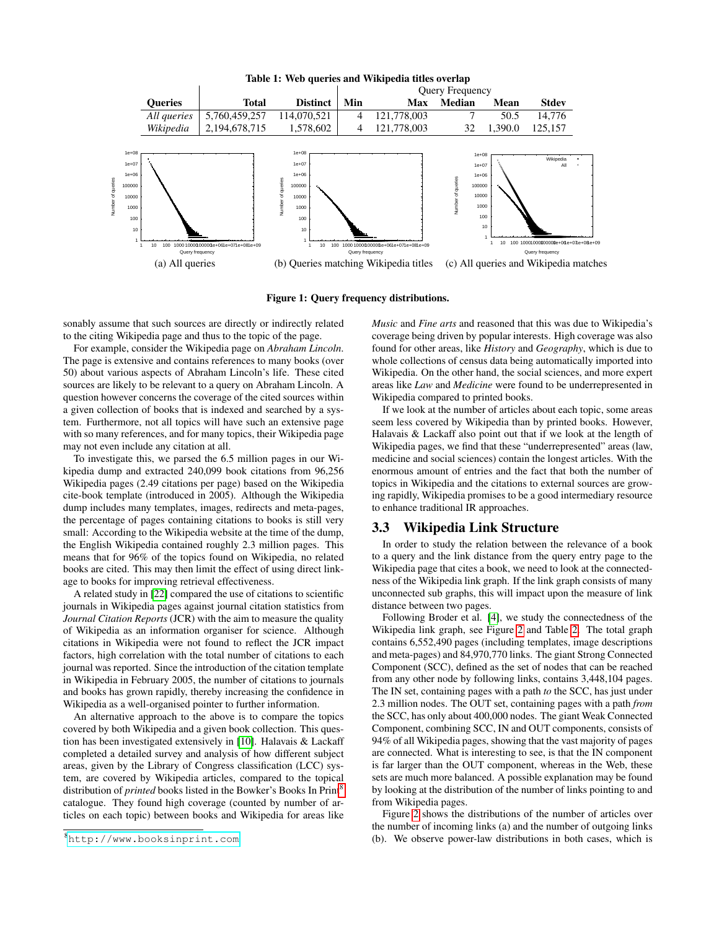<span id="page-3-0"></span>

<span id="page-3-1"></span>Figure 1: Query frequency distributions.

sonably assume that such sources are directly or indirectly related to the citing Wikipedia page and thus to the topic of the page.

For example, consider the Wikipedia page on *Abraham Lincoln*. The page is extensive and contains references to many books (over 50) about various aspects of Abraham Lincoln's life. These cited sources are likely to be relevant to a query on Abraham Lincoln. A question however concerns the coverage of the cited sources within a given collection of books that is indexed and searched by a system. Furthermore, not all topics will have such an extensive page with so many references, and for many topics, their Wikipedia page may not even include any citation at all.

To investigate this, we parsed the 6.5 million pages in our Wikipedia dump and extracted 240,099 book citations from 96,256 Wikipedia pages (2.49 citations per page) based on the Wikipedia cite-book template (introduced in 2005). Although the Wikipedia dump includes many templates, images, redirects and meta-pages, the percentage of pages containing citations to books is still very small: According to the Wikipedia website at the time of the dump, the English Wikipedia contained roughly 2.3 million pages. This means that for 96% of the topics found on Wikipedia, no related books are cited. This may then limit the effect of using direct linkage to books for improving retrieval effectiveness.

A related study in [\[22\]](#page-9-23) compared the use of citations to scientific journals in Wikipedia pages against journal citation statistics from *Journal Citation Reports* (JCR) with the aim to measure the quality of Wikipedia as an information organiser for science. Although citations in Wikipedia were not found to reflect the JCR impact factors, high correlation with the total number of citations to each journal was reported. Since the introduction of the citation template in Wikipedia in February 2005, the number of citations to journals and books has grown rapidly, thereby increasing the confidence in Wikipedia as a well-organised pointer to further information.

An alternative approach to the above is to compare the topics covered by both Wikipedia and a given book collection. This question has been investigated extensively in [\[10\]](#page-9-12). Halavais & Lackaff completed a detailed survey and analysis of how different subject areas, given by the Library of Congress classification (LCC) system, are covered by Wikipedia articles, compared to the topical distribution of *printed* books listed in the Bowker's Books In Print<sup>[8](#page-3-2)</sup> catalogue. They found high coverage (counted by number of articles on each topic) between books and Wikipedia for areas like *Music* and *Fine arts* and reasoned that this was due to Wikipedia's coverage being driven by popular interests. High coverage was also found for other areas, like *History* and *Geography*, which is due to whole collections of census data being automatically imported into Wikipedia. On the other hand, the social sciences, and more expert areas like *Law* and *Medicine* were found to be underrepresented in Wikipedia compared to printed books.

If we look at the number of articles about each topic, some areas seem less covered by Wikipedia than by printed books. However, Halavais & Lackaff also point out that if we look at the length of Wikipedia pages, we find that these "underrepresented" areas (law, medicine and social sciences) contain the longest articles. With the enormous amount of entries and the fact that both the number of topics in Wikipedia and the citations to external sources are growing rapidly, Wikipedia promises to be a good intermediary resource to enhance traditional IR approaches.

#### <span id="page-3-3"></span>3.3 Wikipedia Link Structure

In order to study the relation between the relevance of a book to a query and the link distance from the query entry page to the Wikipedia page that cites a book, we need to look at the connectedness of the Wikipedia link graph. If the link graph consists of many unconnected sub graphs, this will impact upon the measure of link distance between two pages.

Following Broder et al. [\[4\]](#page-9-24), we study the connectedness of the Wikipedia link graph, see Figure [2](#page-4-1) and Table [2.](#page-4-1) The total graph contains 6,552,490 pages (including templates, image descriptions and meta-pages) and 84,970,770 links. The giant Strong Connected Component (SCC), defined as the set of nodes that can be reached from any other node by following links, contains 3,448,104 pages. The IN set, containing pages with a path *to* the SCC, has just under 2.3 million nodes. The OUT set, containing pages with a path *from* the SCC, has only about 400,000 nodes. The giant Weak Connected Component, combining SCC, IN and OUT components, consists of 94% of all Wikipedia pages, showing that the vast majority of pages are connected. What is interesting to see, is that the IN component is far larger than the OUT component, whereas in the Web, these sets are much more balanced. A possible explanation may be found by looking at the distribution of the number of links pointing to and from Wikipedia pages.

Figure [2](#page-4-2) shows the distributions of the number of articles over the number of incoming links (a) and the number of outgoing links (b). We observe power-law distributions in both cases, which is

<span id="page-3-2"></span><sup>8</sup><http://www.booksinprint.com>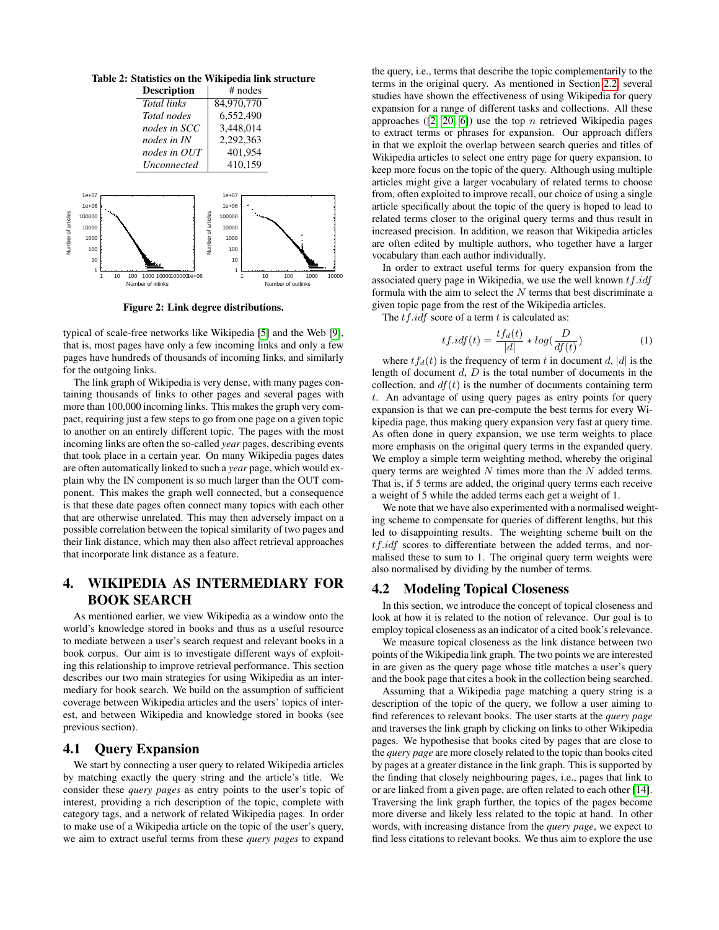<span id="page-4-1"></span>

<span id="page-4-2"></span>Figure 2: Link degree distributions.

typical of scale-free networks like Wikipedia [\[5\]](#page-9-14) and the Web [\[9\]](#page-9-25), that is, most pages have only a few incoming links and only a few pages have hundreds of thousands of incoming links, and similarly for the outgoing links.

The link graph of Wikipedia is very dense, with many pages containing thousands of links to other pages and several pages with more than 100,000 incoming links. This makes the graph very compact, requiring just a few steps to go from one page on a given topic to another on an entirely different topic. The pages with the most incoming links are often the so-called *year* pages, describing events that took place in a certain year. On many Wikipedia pages dates are often automatically linked to such a *year* page, which would explain why the IN component is so much larger than the OUT component. This makes the graph well connected, but a consequence is that these date pages often connect many topics with each other that are otherwise unrelated. This may then adversely impact on a possible correlation between the topical similarity of two pages and their link distance, which may then also affect retrieval approaches that incorporate link distance as a feature.

# <span id="page-4-0"></span>4. WIKIPEDIA AS INTERMEDIARY FOR BOOK SEARCH

As mentioned earlier, we view Wikipedia as a window onto the world's knowledge stored in books and thus as a useful resource to mediate between a user's search request and relevant books in a book corpus. Our aim is to investigate different ways of exploiting this relationship to improve retrieval performance. This section describes our two main strategies for using Wikipedia as an intermediary for book search. We build on the assumption of sufficient coverage between Wikipedia articles and the users' topics of interest, and between Wikipedia and knowledge stored in books (see previous section).

#### 4.1 Query Expansion

We start by connecting a user query to related Wikipedia articles by matching exactly the query string and the article's title. We consider these *query pages* as entry points to the user's topic of interest, providing a rich description of the topic, complete with category tags, and a network of related Wikipedia pages. In order to make use of a Wikipedia article on the topic of the user's query, we aim to extract useful terms from these *query pages* to expand

the query, i.e., terms that describe the topic complementarily to the terms in the original query. As mentioned in Section [2.2,](#page-1-2) several studies have shown the effectiveness of using Wikipedia for query expansion for a range of different tasks and collections. All these approaches ( $[2, 20, 6]$  $[2, 20, 6]$  $[2, 20, 6]$ ) use the top n retrieved Wikipedia pages to extract terms or phrases for expansion. Our approach differs in that we exploit the overlap between search queries and titles of Wikipedia articles to select one entry page for query expansion, to keep more focus on the topic of the query. Although using multiple articles might give a larger vocabulary of related terms to choose from, often exploited to improve recall, our choice of using a single article specifically about the topic of the query is hoped to lead to related terms closer to the original query terms and thus result in increased precision. In addition, we reason that Wikipedia articles are often edited by multiple authors, who together have a larger vocabulary than each author individually.

In order to extract useful terms for query expansion from the associated query page in Wikipedia, we use the well known  $tf.idf$ formula with the aim to select the  $N$  terms that best discriminate a given topic page from the rest of the Wikipedia articles.

The  $tf.idf$  score of a term  $t$  is calculated as:

$$
tf.idf(t) = \frac{tf_d(t)}{|d|} * log(\frac{D}{df(t)})
$$
\n(1)

where  $tf_d(t)$  is the frequency of term t in document d, |d| is the length of document  $d$ ,  $D$  is the total number of documents in the collection, and  $df(t)$  is the number of documents containing term t. An advantage of using query pages as entry points for query expansion is that we can pre-compute the best terms for every Wikipedia page, thus making query expansion very fast at query time. As often done in query expansion, we use term weights to place more emphasis on the original query terms in the expanded query. We employ a simple term weighting method, whereby the original query terms are weighted  $N$  times more than the  $N$  added terms. That is, if 5 terms are added, the original query terms each receive a weight of 5 while the added terms each get a weight of 1.

We note that we have also experimented with a normalised weighting scheme to compensate for queries of different lengths, but this led to disappointing results. The weighting scheme built on the tf.idf scores to differentiate between the added terms, and normalised these to sum to 1. The original query term weights were also normalised by dividing by the number of terms.

# 4.2 Modeling Topical Closeness

In this section, we introduce the concept of topical closeness and look at how it is related to the notion of relevance. Our goal is to employ topical closeness as an indicator of a cited book's relevance.

We measure topical closeness as the link distance between two points of the Wikipedia link graph. The two points we are interested in are given as the query page whose title matches a user's query and the book page that cites a book in the collection being searched.

Assuming that a Wikipedia page matching a query string is a description of the topic of the query, we follow a user aiming to find references to relevant books. The user starts at the *query page* and traverses the link graph by clicking on links to other Wikipedia pages. We hypothesise that books cited by pages that are close to the *query page* are more closely related to the topic than books cited by pages at a greater distance in the link graph. This is supported by the finding that closely neighbouring pages, i.e., pages that link to or are linked from a given page, are often related to each other [\[14\]](#page-9-21). Traversing the link graph further, the topics of the pages become more diverse and likely less related to the topic at hand. In other words, with increasing distance from the *query page*, we expect to find less citations to relevant books. We thus aim to explore the use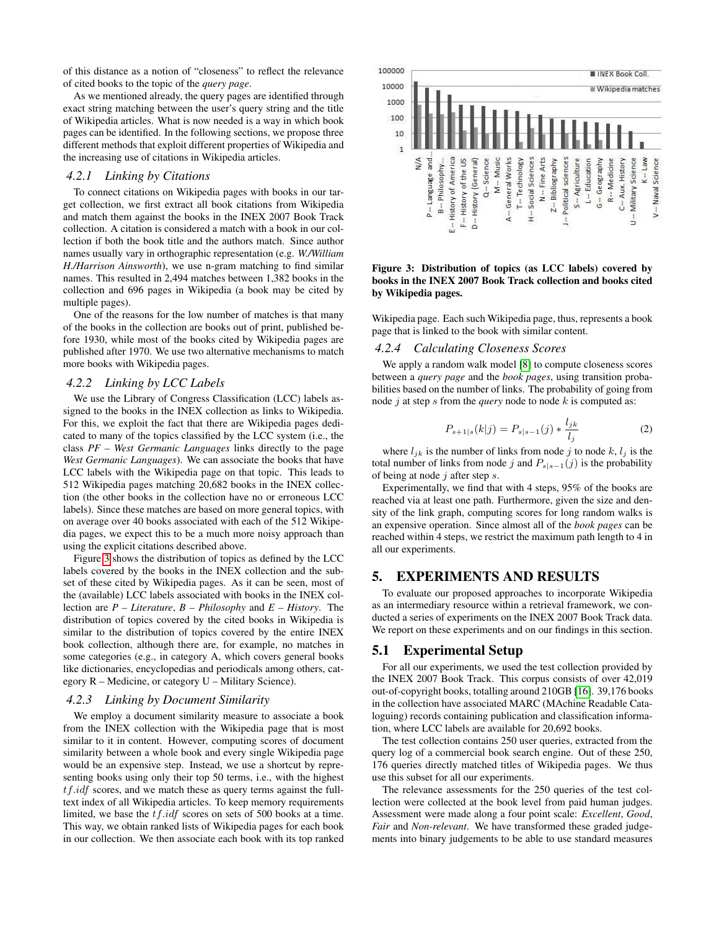of this distance as a notion of "closeness" to reflect the relevance of cited books to the topic of the *query page*.

As we mentioned already, the query pages are identified through exact string matching between the user's query string and the title of Wikipedia articles. What is now needed is a way in which book pages can be identified. In the following sections, we propose three different methods that exploit different properties of Wikipedia and the increasing use of citations in Wikipedia articles.

#### <span id="page-5-3"></span>*4.2.1 Linking by Citations*

To connect citations on Wikipedia pages with books in our target collection, we first extract all book citations from Wikipedia and match them against the books in the INEX 2007 Book Track collection. A citation is considered a match with a book in our collection if both the book title and the authors match. Since author names usually vary in orthographic representation (e.g. *W./William H./Harrison Ainsworth*), we use n-gram matching to find similar names. This resulted in 2,494 matches between 1,382 books in the collection and 696 pages in Wikipedia (a book may be cited by multiple pages).

One of the reasons for the low number of matches is that many of the books in the collection are books out of print, published before 1930, while most of the books cited by Wikipedia pages are published after 1970. We use two alternative mechanisms to match more books with Wikipedia pages.

#### *4.2.2 Linking by LCC Labels*

We use the Library of Congress Classification (LCC) labels assigned to the books in the INEX collection as links to Wikipedia. For this, we exploit the fact that there are Wikipedia pages dedicated to many of the topics classified by the LCC system (i.e., the class *PF – West Germanic Languages* links directly to the page *West Germanic Languages*). We can associate the books that have LCC labels with the Wikipedia page on that topic. This leads to 512 Wikipedia pages matching 20,682 books in the INEX collection (the other books in the collection have no or erroneous LCC labels). Since these matches are based on more general topics, with on average over 40 books associated with each of the 512 Wikipedia pages, we expect this to be a much more noisy approach than using the explicit citations described above.

Figure [3](#page-5-2) shows the distribution of topics as defined by the LCC labels covered by the books in the INEX collection and the subset of these cited by Wikipedia pages. As it can be seen, most of the (available) LCC labels associated with books in the INEX collection are *P – Literature*, *B – Philosophy* and *E – History*. The distribution of topics covered by the cited books in Wikipedia is similar to the distribution of topics covered by the entire INEX book collection, although there are, for example, no matches in some categories (e.g., in category A, which covers general books like dictionaries, encyclopedias and periodicals among others, category R – Medicine, or category U – Military Science).

#### *4.2.3 Linking by Document Similarity*

We employ a document similarity measure to associate a book from the INEX collection with the Wikipedia page that is most similar to it in content. However, computing scores of document similarity between a whole book and every single Wikipedia page would be an expensive step. Instead, we use a shortcut by representing books using only their top 50 terms, i.e., with the highest  $tf.idf$  scores, and we match these as query terms against the fulltext index of all Wikipedia articles. To keep memory requirements limited, we base the tf.idf scores on sets of 500 books at a time. This way, we obtain ranked lists of Wikipedia pages for each book in our collection. We then associate each book with its top ranked



<span id="page-5-2"></span>Figure 3: Distribution of topics (as LCC labels) covered by books in the INEX 2007 Book Track collection and books cited by Wikipedia pages.

Wikipedia page. Each such Wikipedia page, thus, represents a book page that is linked to the book with similar content.

#### *4.2.4 Calculating Closeness Scores*

We apply a random walk model [\[8\]](#page-9-22) to compute closeness scores between a *query page* and the *book pages*, using transition probabilities based on the number of links. The probability of going from node j at step s from the *query* node to node k is computed as:

$$
P_{s+1|s}(k|j) = P_{s|s-1}(j) * \frac{l_{jk}}{l_j}
$$
 (2)

where  $l_{jk}$  is the number of links from node j to node k,  $l_j$  is the total number of links from node j and  $P_{s|s-1}(j)$  is the probability of being at node  $j$  after step  $s$ .

Experimentally, we find that with 4 steps, 95% of the books are reached via at least one path. Furthermore, given the size and density of the link graph, computing scores for long random walks is an expensive operation. Since almost all of the *book pages* can be reached within 4 steps, we restrict the maximum path length to 4 in all our experiments.

#### <span id="page-5-0"></span>5. EXPERIMENTS AND RESULTS

To evaluate our proposed approaches to incorporate Wikipedia as an intermediary resource within a retrieval framework, we conducted a series of experiments on the INEX 2007 Book Track data. We report on these experiments and on our findings in this section.

#### <span id="page-5-1"></span>5.1 Experimental Setup

For all our experiments, we used the test collection provided by the INEX 2007 Book Track. This corpus consists of over 42,019 out-of-copyright books, totalling around 210GB [\[16\]](#page-9-0). 39,176 books in the collection have associated MARC (MAchine Readable Cataloguing) records containing publication and classification information, where LCC labels are available for 20,692 books.

The test collection contains 250 user queries, extracted from the query log of a commercial book search engine. Out of these 250, 176 queries directly matched titles of Wikipedia pages. We thus use this subset for all our experiments.

The relevance assessments for the 250 queries of the test collection were collected at the book level from paid human judges. Assessment were made along a four point scale: *Excellent*, *Good*, *Fair* and *Non-relevant*. We have transformed these graded judgements into binary judgements to be able to use standard measures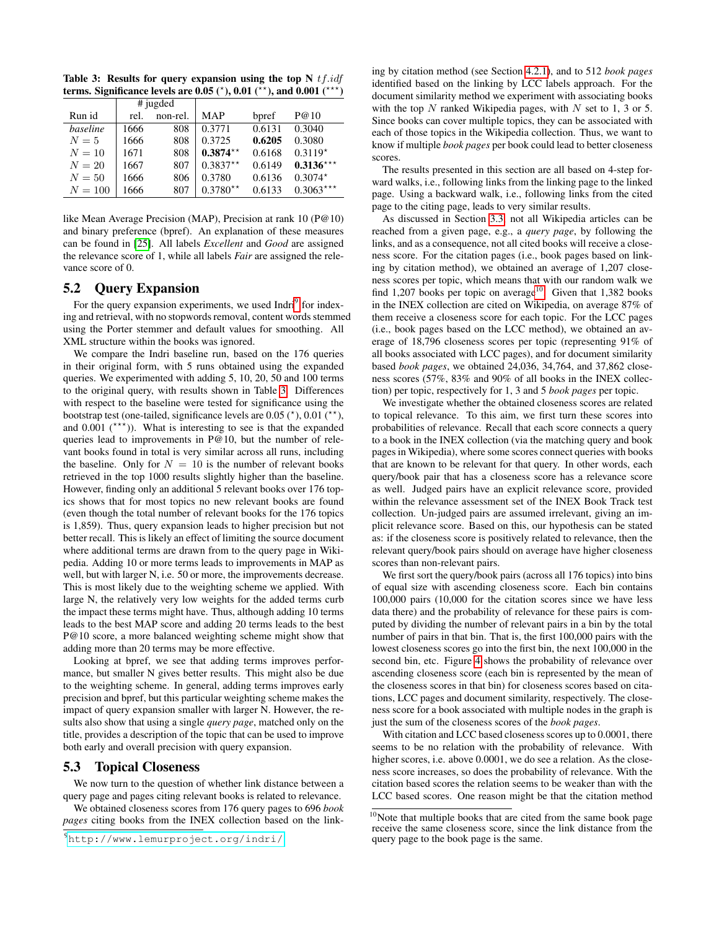<span id="page-6-1"></span>Table 3: Results for query expansion using the top N  $tf.idf$ terms. Significance levels are 0.05 ( $\check{ }$ ), 0.01 ( $\check{ }$  $\check{ }$ ), and 0.001 ( $\check{ }$  $\check{ }$  $\check{ }$  $\check{ }$ )

|           | $#$ jugded |          |            |        |             |
|-----------|------------|----------|------------|--------|-------------|
| Run id    | rel.       | non-rel. | MAP        | bpref  | P@10        |
| baseline  | 1666       | 808      | 0.3771     | 0.6131 | 0.3040      |
| $N=5$     | 1666       | 808      | 0.3725     | 0.6205 | 0.3080      |
| $N=10$    | 1671       | 808      | $0.3874**$ | 0.6168 | $0.3119*$   |
| $N=20$    | 1667       | 807      | $0.3837**$ | 0.6149 | $0.3136***$ |
| $N=50$    | 1666       | 806      | 0.3780     | 0.6136 | $0.3074*$   |
| $N = 100$ | 1666       | 807      | $0.3780**$ | 0.6133 | $0.3063***$ |

like Mean Average Precision (MAP), Precision at rank 10 (P@10) and binary preference (bpref). An explanation of these measures can be found in [\[25\]](#page-9-26). All labels *Excellent* and *Good* are assigned the relevance score of 1, while all labels *Fair* are assigned the relevance score of 0.

### 5.2 Query Expansion

For the query expansion experiments, we used Indri<sup>[9](#page-6-0)</sup> for indexing and retrieval, with no stopwords removal, content words stemmed using the Porter stemmer and default values for smoothing. All XML structure within the books was ignored.

We compare the Indri baseline run, based on the 176 queries in their original form, with 5 runs obtained using the expanded queries. We experimented with adding 5, 10, 20, 50 and 100 terms to the original query, with results shown in Table [3.](#page-6-1) Differences with respect to the baseline were tested for significance using the bootstrap test (one-tailed, significance levels are  $0.05$  ( $*$ ),  $0.01$  ( $**$ ), and  $0.001$  (\*\*\*)). What is interesting to see is that the expanded queries lead to improvements in P@10, but the number of relevant books found in total is very similar across all runs, including the baseline. Only for  $N = 10$  is the number of relevant books retrieved in the top 1000 results slightly higher than the baseline. However, finding only an additional 5 relevant books over 176 topics shows that for most topics no new relevant books are found (even though the total number of relevant books for the 176 topics is 1,859). Thus, query expansion leads to higher precision but not better recall. This is likely an effect of limiting the source document where additional terms are drawn from to the query page in Wikipedia. Adding 10 or more terms leads to improvements in MAP as well, but with larger N, i.e. 50 or more, the improvements decrease. This is most likely due to the weighting scheme we applied. With large N, the relatively very low weights for the added terms curb the impact these terms might have. Thus, although adding 10 terms leads to the best MAP score and adding 20 terms leads to the best P@10 score, a more balanced weighting scheme might show that adding more than 20 terms may be more effective.

Looking at bpref, we see that adding terms improves performance, but smaller N gives better results. This might also be due to the weighting scheme. In general, adding terms improves early precision and bpref, but this particular weighting scheme makes the impact of query expansion smaller with larger N. However, the results also show that using a single *query page*, matched only on the title, provides a description of the topic that can be used to improve both early and overall precision with query expansion.

### 5.3 Topical Closeness

We now turn to the question of whether link distance between a query page and pages citing relevant books is related to relevance.

We obtained closeness scores from 176 query pages to 696 *book pages* citing books from the INEX collection based on the linking by citation method (see Section [4.2.1\)](#page-5-3), and to 512 *book pages* identified based on the linking by LCC labels approach. For the document similarity method we experiment with associating books with the top  $N$  ranked Wikipedia pages, with  $N$  set to 1, 3 or 5. Since books can cover multiple topics, they can be associated with each of those topics in the Wikipedia collection. Thus, we want to know if multiple *book pages* per book could lead to better closeness scores.

The results presented in this section are all based on 4-step forward walks, i.e., following links from the linking page to the linked page. Using a backward walk, i.e., following links from the cited page to the citing page, leads to very similar results.

As discussed in Section [3.3,](#page-3-3) not all Wikipedia articles can be reached from a given page, e.g., a *query page*, by following the links, and as a consequence, not all cited books will receive a closeness score. For the citation pages (i.e., book pages based on linking by citation method), we obtained an average of 1,207 closeness scores per topic, which means that with our random walk we find 1,207 books per topic on average<sup>[10](#page-6-2)</sup>. Given that 1,382 books in the INEX collection are cited on Wikipedia, on average 87% of them receive a closeness score for each topic. For the LCC pages (i.e., book pages based on the LCC method), we obtained an average of 18,796 closeness scores per topic (representing 91% of all books associated with LCC pages), and for document similarity based *book pages*, we obtained 24,036, 34,764, and 37,862 closeness scores (57%, 83% and 90% of all books in the INEX collection) per topic, respectively for 1, 3 and 5 *book pages* per topic.

We investigate whether the obtained closeness scores are related to topical relevance. To this aim, we first turn these scores into probabilities of relevance. Recall that each score connects a query to a book in the INEX collection (via the matching query and book pages in Wikipedia), where some scores connect queries with books that are known to be relevant for that query. In other words, each query/book pair that has a closeness score has a relevance score as well. Judged pairs have an explicit relevance score, provided within the relevance assessment set of the INEX Book Track test collection. Un-judged pairs are assumed irrelevant, giving an implicit relevance score. Based on this, our hypothesis can be stated as: if the closeness score is positively related to relevance, then the relevant query/book pairs should on average have higher closeness scores than non-relevant pairs.

We first sort the query/book pairs (across all 176 topics) into bins of equal size with ascending closeness score. Each bin contains 100,000 pairs (10,000 for the citation scores since we have less data there) and the probability of relevance for these pairs is computed by dividing the number of relevant pairs in a bin by the total number of pairs in that bin. That is, the first 100,000 pairs with the lowest closeness scores go into the first bin, the next 100,000 in the second bin, etc. Figure [4](#page-7-0) shows the probability of relevance over ascending closeness score (each bin is represented by the mean of the closeness scores in that bin) for closeness scores based on citations, LCC pages and document similarity, respectively. The closeness score for a book associated with multiple nodes in the graph is just the sum of the closeness scores of the *book pages*.

With citation and LCC based closeness scores up to 0.0001, there seems to be no relation with the probability of relevance. With higher scores, i.e. above 0.0001, we do see a relation. As the closeness score increases, so does the probability of relevance. With the citation based scores the relation seems to be weaker than with the LCC based scores. One reason might be that the citation method

<span id="page-6-0"></span><sup>9</sup><http://www.lemurproject.org/indri/>

<span id="page-6-2"></span><sup>&</sup>lt;sup>10</sup>Note that multiple books that are cited from the same book page receive the same closeness score, since the link distance from the query page to the book page is the same.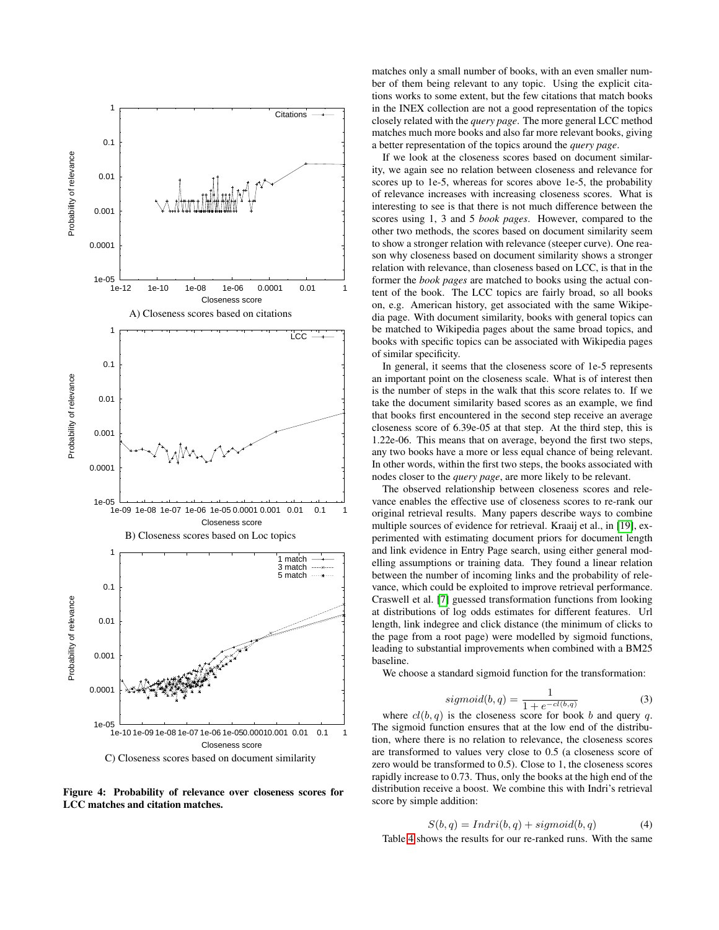

<span id="page-7-0"></span>

Figure 4: Probability of relevance over closeness scores for LCC matches and citation matches.

matches only a small number of books, with an even smaller number of them being relevant to any topic. Using the explicit citations works to some extent, but the few citations that match books in the INEX collection are not a good representation of the topics closely related with the *query page*. The more general LCC method matches much more books and also far more relevant books, giving a better representation of the topics around the *query page*.

If we look at the closeness scores based on document similarity, we again see no relation between closeness and relevance for scores up to 1e-5, whereas for scores above 1e-5, the probability of relevance increases with increasing closeness scores. What is interesting to see is that there is not much difference between the scores using 1, 3 and 5 *book pages*. However, compared to the other two methods, the scores based on document similarity seem to show a stronger relation with relevance (steeper curve). One reason why closeness based on document similarity shows a stronger relation with relevance, than closeness based on LCC, is that in the former the *book pages* are matched to books using the actual content of the book. The LCC topics are fairly broad, so all books on, e.g. American history, get associated with the same Wikipedia page. With document similarity, books with general topics can be matched to Wikipedia pages about the same broad topics, and books with specific topics can be associated with Wikipedia pages of similar specificity.

In general, it seems that the closeness score of 1e-5 represents an important point on the closeness scale. What is of interest then is the number of steps in the walk that this score relates to. If we take the document similarity based scores as an example, we find that books first encountered in the second step receive an average closeness score of 6.39e-05 at that step. At the third step, this is 1.22e-06. This means that on average, beyond the first two steps, any two books have a more or less equal chance of being relevant. In other words, within the first two steps, the books associated with nodes closer to the *query page*, are more likely to be relevant.

The observed relationship between closeness scores and relevance enables the effective use of closeness scores to re-rank our original retrieval results. Many papers describe ways to combine multiple sources of evidence for retrieval. Kraaij et al., in [\[19\]](#page-9-27), experimented with estimating document priors for document length and link evidence in Entry Page search, using either general modelling assumptions or training data. They found a linear relation between the number of incoming links and the probability of relevance, which could be exploited to improve retrieval performance. Craswell et al. [\[7\]](#page-9-28) guessed transformation functions from looking at distributions of log odds estimates for different features. Url length, link indegree and click distance (the minimum of clicks to the page from a root page) were modelled by sigmoid functions, leading to substantial improvements when combined with a BM25 baseline.

We choose a standard sigmoid function for the transformation:

$$
sigmoid(b,q) = \frac{1}{1 + e^{-cl(b,q)}}\tag{3}
$$

where  $cl(b, q)$  is the closeness score for book b and query q. The sigmoid function ensures that at the low end of the distribution, where there is no relation to relevance, the closeness scores are transformed to values very close to 0.5 (a closeness score of zero would be transformed to 0.5). Close to 1, the closeness scores rapidly increase to 0.73. Thus, only the books at the high end of the distribution receive a boost. We combine this with Indri's retrieval score by simple addition:

$$
S(b,q) = Indri(b,q) + sigmoid(b,q)
$$
 (4)

Table [4](#page-8-1) shows the results for our re-ranked runs. With the same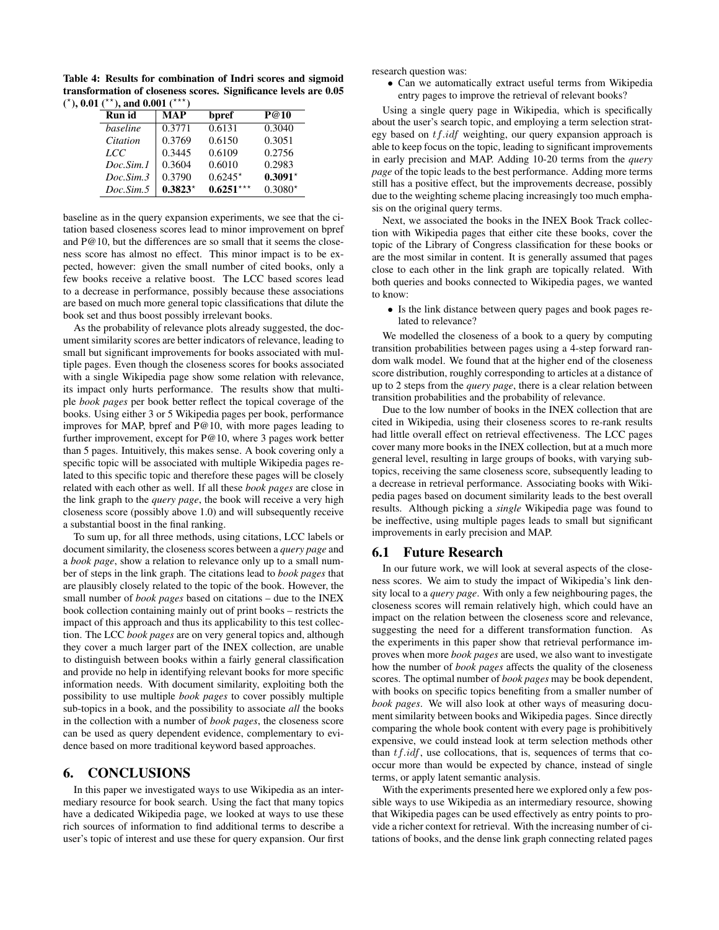Table 4: Results for combination of Indri scores and sigmoid transformation of closeness scores. Significance levels are 0.05  $(*), 0.01$   $(*),$  and 0.001  $(***)$ 

<span id="page-8-1"></span>

| Run id      | <b>MAP</b> | bpref       | P@10      |
|-------------|------------|-------------|-----------|
| baseline    | 0.3771     | 0.6131      | 0.3040    |
| Citation    | 0.3769     | 0.6150      | 0.3051    |
| LCC         | 0.3445     | 0.6109      | 0.2756    |
| Doc. Sim.1  | 0.3604     | 0.6010      | 0.2983    |
| Doc. Sim.3  | 0.3790     | $0.6245*$   | $0.3091*$ |
| Doc. Sim. 5 | $0.3823*$  | $0.6251***$ | $0.3080*$ |

baseline as in the query expansion experiments, we see that the citation based closeness scores lead to minor improvement on bpref and P@10, but the differences are so small that it seems the closeness score has almost no effect. This minor impact is to be expected, however: given the small number of cited books, only a few books receive a relative boost. The LCC based scores lead to a decrease in performance, possibly because these associations are based on much more general topic classifications that dilute the book set and thus boost possibly irrelevant books.

As the probability of relevance plots already suggested, the document similarity scores are better indicators of relevance, leading to small but significant improvements for books associated with multiple pages. Even though the closeness scores for books associated with a single Wikipedia page show some relation with relevance, its impact only hurts performance. The results show that multiple *book pages* per book better reflect the topical coverage of the books. Using either 3 or 5 Wikipedia pages per book, performance improves for MAP, bpref and P@10, with more pages leading to further improvement, except for P@10, where 3 pages work better than 5 pages. Intuitively, this makes sense. A book covering only a specific topic will be associated with multiple Wikipedia pages related to this specific topic and therefore these pages will be closely related with each other as well. If all these *book pages* are close in the link graph to the *query page*, the book will receive a very high closeness score (possibly above 1.0) and will subsequently receive a substantial boost in the final ranking.

To sum up, for all three methods, using citations, LCC labels or document similarity, the closeness scores between a *query page* and a *book page*, show a relation to relevance only up to a small number of steps in the link graph. The citations lead to *book pages* that are plausibly closely related to the topic of the book. However, the small number of *book pages* based on citations – due to the INEX book collection containing mainly out of print books – restricts the impact of this approach and thus its applicability to this test collection. The LCC *book pages* are on very general topics and, although they cover a much larger part of the INEX collection, are unable to distinguish between books within a fairly general classification and provide no help in identifying relevant books for more specific information needs. With document similarity, exploiting both the possibility to use multiple *book pages* to cover possibly multiple sub-topics in a book, and the possibility to associate *all* the books in the collection with a number of *book pages*, the closeness score can be used as query dependent evidence, complementary to evidence based on more traditional keyword based approaches.

#### <span id="page-8-0"></span>6. CONCLUSIONS

In this paper we investigated ways to use Wikipedia as an intermediary resource for book search. Using the fact that many topics have a dedicated Wikipedia page, we looked at ways to use these rich sources of information to find additional terms to describe a user's topic of interest and use these for query expansion. Our first

research question was:

• Can we automatically extract useful terms from Wikipedia entry pages to improve the retrieval of relevant books?

Using a single query page in Wikipedia, which is specifically about the user's search topic, and employing a term selection strategy based on tf.idf weighting, our query expansion approach is able to keep focus on the topic, leading to significant improvements in early precision and MAP. Adding 10-20 terms from the *query page* of the topic leads to the best performance. Adding more terms still has a positive effect, but the improvements decrease, possibly due to the weighting scheme placing increasingly too much emphasis on the original query terms.

Next, we associated the books in the INEX Book Track collection with Wikipedia pages that either cite these books, cover the topic of the Library of Congress classification for these books or are the most similar in content. It is generally assumed that pages close to each other in the link graph are topically related. With both queries and books connected to Wikipedia pages, we wanted to know:

• Is the link distance between query pages and book pages related to relevance?

We modelled the closeness of a book to a query by computing transition probabilities between pages using a 4-step forward random walk model. We found that at the higher end of the closeness score distribution, roughly corresponding to articles at a distance of up to 2 steps from the *query page*, there is a clear relation between transition probabilities and the probability of relevance.

Due to the low number of books in the INEX collection that are cited in Wikipedia, using their closeness scores to re-rank results had little overall effect on retrieval effectiveness. The LCC pages cover many more books in the INEX collection, but at a much more general level, resulting in large groups of books, with varying subtopics, receiving the same closeness score, subsequently leading to a decrease in retrieval performance. Associating books with Wikipedia pages based on document similarity leads to the best overall results. Although picking a *single* Wikipedia page was found to be ineffective, using multiple pages leads to small but significant improvements in early precision and MAP.

#### 6.1 Future Research

In our future work, we will look at several aspects of the closeness scores. We aim to study the impact of Wikipedia's link density local to a *query page*. With only a few neighbouring pages, the closeness scores will remain relatively high, which could have an impact on the relation between the closeness score and relevance, suggesting the need for a different transformation function. As the experiments in this paper show that retrieval performance improves when more *book pages* are used, we also want to investigate how the number of *book pages* affects the quality of the closeness scores. The optimal number of *book pages* may be book dependent, with books on specific topics benefiting from a smaller number of *book pages*. We will also look at other ways of measuring document similarity between books and Wikipedia pages. Since directly comparing the whole book content with every page is prohibitively expensive, we could instead look at term selection methods other than  $tf.idf$ , use collocations, that is, sequences of terms that cooccur more than would be expected by chance, instead of single terms, or apply latent semantic analysis.

With the experiments presented here we explored only a few possible ways to use Wikipedia as an intermediary resource, showing that Wikipedia pages can be used effectively as entry points to provide a richer context for retrieval. With the increasing number of citations of books, and the dense link graph connecting related pages